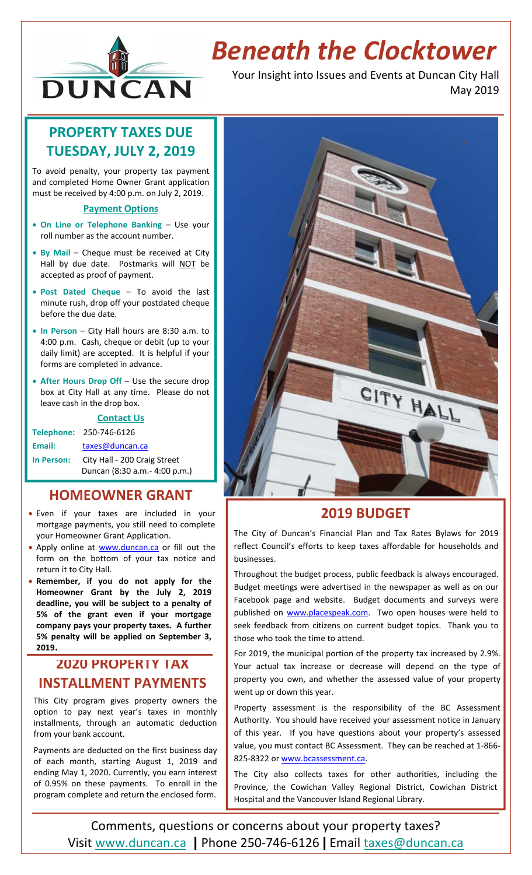

# *Beneath the Clocktower*

Your Insight into Issues and Events at Duncan City Hall May 2019

# **PROPERTY TAXES DUE TUESDAY, JULY 2, 2019**

To avoid penalty, your property tax payment and completed Home Owner Grant application must be received by 4:00 p.m. on July 2, 2019.

#### **Payment Options**

- **On Line or Telephone Banking** Use your roll number as the account number.
- **By Mail** Cheque must be received at City Hall by due date. Postmarks will NOT be accepted as proof of payment.
- **Post Dated Cheque** To avoid the last minute rush, drop off your postdated cheque before the due date.
- **In Person** City Hall hours are 8:30 a.m. to 4:00 p.m. Cash, cheque or debit (up to your daily limit) are accepted. It is helpful if your forms are completed in advance.
- **After Hours Drop Off** Use the secure drop box at City Hall at any time. Please do not leave cash in the drop box.

#### **Contact Us**

**Telephone:** 250‐746‐6126 Email: taxes@duncan.ca **In Person:** City Hall ‐ 200 Craig Street Duncan (8:30 a.m.‐ 4:00 p.m.)

#### **HOMEOWNER GRANT**

- Even if your taxes are included in your mortgage payments, you still need to complete your Homeowner Grant Application.
- Apply online at www.duncan.ca or fill out the form on the bottom of your tax notice and return it to City Hall.
- **Remember, if you do not apply for the Homeowner Grant by the July 2, 2019 deadline, you will be subject to a penalty of 5% of the grant even if your mortgage company pays your property taxes. A further 5% penalty will be applied on September 3, 2019.**

#### **2020 PROPERTY TAX INSTALLMENT PAYMENTS**

This City program gives property owners the option to pay next year's taxes in monthly installments, through an automatic deduction from your bank account.

Payments are deducted on the first business day of each month, starting August 1, 2019 and ending May 1, 2020. Currently, you earn interest of 0.95% on these payments. To enroll in the program complete and return the enclosed form.



### **2019 BUDGET**

The City of Duncan's Financial Plan and Tax Rates Bylaws for 2019 reflect Council's efforts to keep taxes affordable for households and businesses.

Throughout the budget process, public feedback is always encouraged. Budget meetings were advertised in the newspaper as well as on our Facebook page and website. Budget documents and surveys were published on www.placespeak.com. Two open houses were held to seek feedback from citizens on current budget topics. Thank you to those who took the time to attend.

For 2019, the municipal portion of the property tax increased by 2.9%. Your actual tax increase or decrease will depend on the type of property you own, and whether the assessed value of your property went up or down this year.

Property assessment is the responsibility of the BC Assessment Authority. You should have received your assessment notice in January of this year. If you have questions about your property's assessed value, you must contact BC Assessment. They can be reached at 1‐866‐ 825-8322 or www.bcassessment.ca.

The City also collects taxes for other authorities, including the Province, the Cowichan Valley Regional District, Cowichan District Hospital and the Vancouver Island Regional Library.

Comments, questions or concerns about your property taxes? Visit www.duncan.ca **|** Phone 250‐746‐6126 **|** Email taxes@duncan.ca